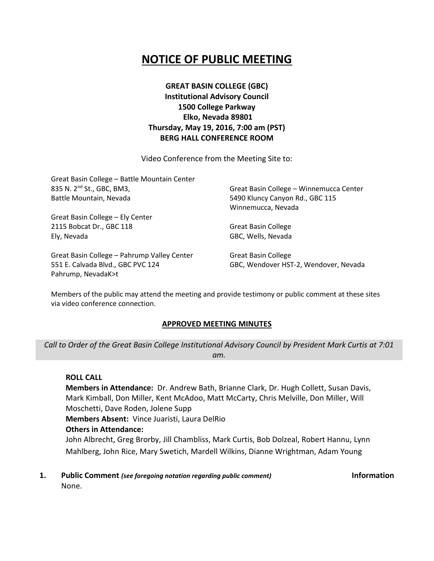## **NOTICE OF PUBLIC MEETING**

**GREAT BASIN COLLEGE (GBC) Institutional Advisory Council 1500 College Parkway Elko, Nevada 89801 Thursday, May 19, 2016, 7:00 am (PST) BERG HALL CONFERENCE ROOM**

Video Conference from the Meeting Site to:

| Great Basin College - Battle Mountain Center<br>835 N. 2 <sup>nd</sup> St., GBC, BM3,<br>Battle Mountain, Nevada | Great Basin College - Winnemucca Center<br>5490 Kluncy Canyon Rd., GBC 115 |                                  |
|------------------------------------------------------------------------------------------------------------------|----------------------------------------------------------------------------|----------------------------------|
|                                                                                                                  |                                                                            | Winnemucca, Nevada               |
|                                                                                                                  |                                                                            | Great Basin College - Ely Center |
|                                                                                                                  | 2115 Bobcat Dr., GBC 118                                                   | <b>Great Basin College</b>       |
| Ely, Nevada                                                                                                      | GBC, Wells, Nevada                                                         |                                  |
| Great Basin College - Pahrump Valley Center                                                                      | <b>Great Basin College</b>                                                 |                                  |
| 551 E. Calvada Blvd., GBC PVC 124                                                                                | GBC, Wendover HST-2, Wendover, Nevada                                      |                                  |

Members of the public may attend the meeting and provide testimony or public comment at these sites via video conference connection.

#### **APPROVED MEETING MINUTES**

*Call to Order of the Great Basin College Institutional Advisory Council by President Mark Curtis at 7:01 am.*

#### **ROLL CALL**

Pahrump, NevadaK>t

**Members in Attendance:** Dr. Andrew Bath, Brianne Clark, Dr. Hugh Collett, Susan Davis, Mark Kimball, Don Miller, Kent McAdoo, Matt McCarty, Chris Melville, Don Miller, Will Moschetti, Dave Roden, Jolene Supp **Members Absent:** Vince Juaristi, Laura DelRio **Others in Attendance:** John Albrecht, Greg Brorby, Jill Chambliss, Mark Curtis, Bob Dolzeal, Robert Hannu, Lynn Mahlberg, John Rice, Mary Swetich, Mardell Wilkins, Dianne Wrightman, Adam Young

**1. Public Comment** *(see foregoing notation regarding public comment)* **Information** None.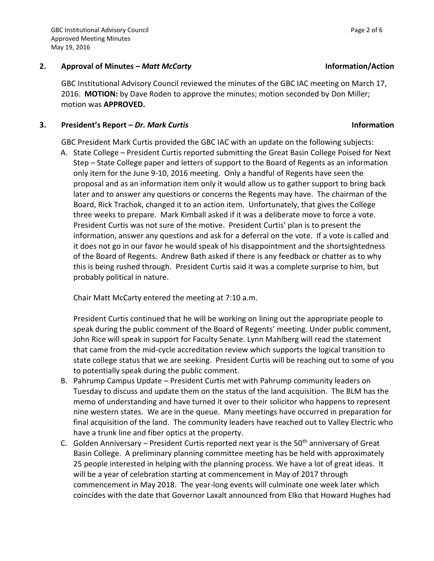### **2. Approval of Minutes –** *Matt McCarty* **Information/Action**

GBC Institutional Advisory Council reviewed the minutes of the GBC IAC meeting on March 17, 2016. **MOTION:** by Dave Roden to approve the minutes; motion seconded by Don Miller; motion was **APPROVED.**

### **3. President's Report –** *Dr. Mark Curtis* **Information**

GBC President Mark Curtis provided the GBC IAC with an update on the following subjects:

A. State College – President Curtis reported submitting the Great Basin College Poised for Next Step – State College paper and letters of support to the Board of Regents as an information only item for the June 9-10, 2016 meeting. Only a handful of Regents have seen the proposal and as an information item only it would allow us to gather support to bring back later and to answer any questions or concerns the Regents may have. The chairman of the Board, Rick Trachok, changed it to an action item. Unfortunately, that gives the College three weeks to prepare. Mark Kimball asked if it was a deliberate move to force a vote. President Curtis was not sure of the motive. President Curtis' plan is to present the information, answer any questions and ask for a deferral on the vote. If a vote is called and it does not go in our favor he would speak of his disappointment and the shortsightedness of the Board of Regents. Andrew Bath asked if there is any feedback or chatter as to why this is being rushed through. President Curtis said it was a complete surprise to him, but probably political in nature.

Chair Matt McCarty entered the meeting at 7:10 a.m.

President Curtis continued that he will be working on lining out the appropriate people to speak during the public comment of the Board of Regents' meeting. Under public comment, John Rice will speak in support for Faculty Senate. Lynn Mahlberg will read the statement that came from the mid-cycle accreditation review which supports the logical transition to state college status that we are seeking. President Curtis will be reaching out to some of you to potentially speak during the public comment.

- B. Pahrump Campus Update President Curtis met with Pahrump community leaders on Tuesday to discuss and update them on the status of the land acquisition. The BLM has the memo of understanding and have turned it over to their solicitor who happens to represent nine western states. We are in the queue. Many meetings have occurred in preparation for final acquisition of the land. The community leaders have reached out to Valley Electric who have a trunk line and fiber optics at the property.
- C. Golden Anniversary President Curtis reported next year is the  $50<sup>th</sup>$  anniversary of Great Basin College. A preliminary planning committee meeting has be held with approximately 25 people interested in helping with the planning process. We have a lot of great ideas. It will be a year of celebration starting at commencement in May of 2017 through commencement in May 2018. The year-long events will culminate one week later which coincides with the date that Governor Laxalt announced from Elko that Howard Hughes had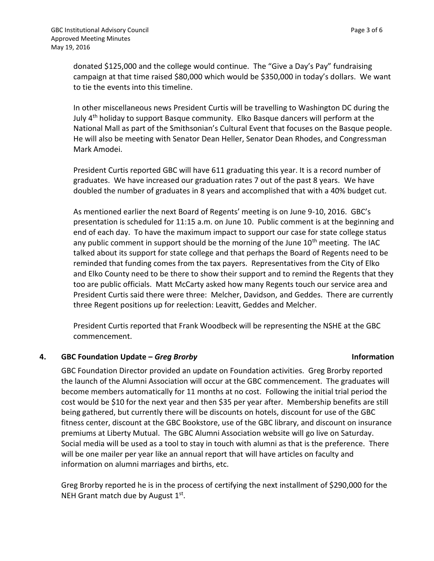donated \$125,000 and the college would continue. The "Give a Day's Pay" fundraising campaign at that time raised \$80,000 which would be \$350,000 in today's dollars. We want to tie the events into this timeline.

In other miscellaneous news President Curtis will be travelling to Washington DC during the July 4th holiday to support Basque community. Elko Basque dancers will perform at the National Mall as part of the Smithsonian's Cultural Event that focuses on the Basque people. He will also be meeting with Senator Dean Heller, Senator Dean Rhodes, and Congressman Mark Amodei.

President Curtis reported GBC will have 611 graduating this year. It is a record number of graduates. We have increased our graduation rates 7 out of the past 8 years. We have doubled the number of graduates in 8 years and accomplished that with a 40% budget cut.

As mentioned earlier the next Board of Regents' meeting is on June 9-10, 2016. GBC's presentation is scheduled for 11:15 a.m. on June 10. Public comment is at the beginning and end of each day. To have the maximum impact to support our case for state college status any public comment in support should be the morning of the June  $10<sup>th</sup>$  meeting. The IAC talked about its support for state college and that perhaps the Board of Regents need to be reminded that funding comes from the tax payers. Representatives from the City of Elko and Elko County need to be there to show their support and to remind the Regents that they too are public officials. Matt McCarty asked how many Regents touch our service area and President Curtis said there were three: Melcher, Davidson, and Geddes. There are currently three Regent positions up for reelection: Leavitt, Geddes and Melcher.

President Curtis reported that Frank Woodbeck will be representing the NSHE at the GBC commencement.

### **4. GBC Foundation Update –** *Greg Brorby* **Information**

GBC Foundation Director provided an update on Foundation activities. Greg Brorby reported the launch of the Alumni Association will occur at the GBC commencement. The graduates will become members automatically for 11 months at no cost. Following the initial trial period the cost would be \$10 for the next year and then \$35 per year after. Membership benefits are still being gathered, but currently there will be discounts on hotels, discount for use of the GBC fitness center, discount at the GBC Bookstore, use of the GBC library, and discount on insurance premiums at Liberty Mutual. The GBC Alumni Association website will go live on Saturday. Social media will be used as a tool to stay in touch with alumni as that is the preference. There will be one mailer per year like an annual report that will have articles on faculty and information on alumni marriages and births, etc.

Greg Brorby reported he is in the process of certifying the next installment of \$290,000 for the NEH Grant match due by August 1st.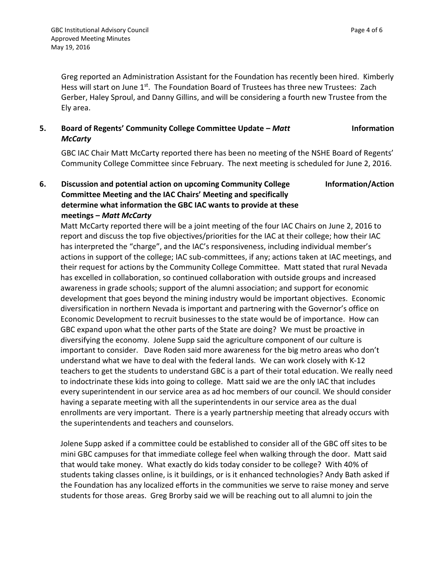Greg reported an Administration Assistant for the Foundation has recently been hired. Kimberly Hess will start on June 1<sup>st</sup>. The Foundation Board of Trustees has three new Trustees: Zach Gerber, Haley Sproul, and Danny Gillins, and will be considering a fourth new Trustee from the Ely area.

#### **5. Board of Regents' Community College Committee Update –** *Matt McCarty* **Information**

GBC IAC Chair Matt McCarty reported there has been no meeting of the NSHE Board of Regents' Community College Committee since February. The next meeting is scheduled for June 2, 2016.

#### **6. Discussion and potential action on upcoming Community College Committee Meeting and the IAC Chairs' Meeting and specifically determine what information the GBC IAC wants to provide at these meetings –** *Matt McCarty* **Information/Action**

Matt McCarty reported there will be a joint meeting of the four IAC Chairs on June 2, 2016 to report and discuss the top five objectives/priorities for the IAC at their college; how their IAC has interpreted the "charge", and the IAC's responsiveness, including individual member's actions in support of the college; IAC sub-committees, if any; actions taken at IAC meetings, and their request for actions by the Community College Committee. Matt stated that rural Nevada has excelled in collaboration, so continued collaboration with outside groups and increased awareness in grade schools; support of the alumni association; and support for economic development that goes beyond the mining industry would be important objectives. Economic diversification in northern Nevada is important and partnering with the Governor's office on Economic Development to recruit businesses to the state would be of importance. How can GBC expand upon what the other parts of the State are doing? We must be proactive in diversifying the economy. Jolene Supp said the agriculture component of our culture is important to consider. Dave Roden said more awareness for the big metro areas who don't understand what we have to deal with the federal lands. We can work closely with K-12 teachers to get the students to understand GBC is a part of their total education. We really need to indoctrinate these kids into going to college. Matt said we are the only IAC that includes every superintendent in our service area as ad hoc members of our council. We should consider having a separate meeting with all the superintendents in our service area as the dual enrollments are very important. There is a yearly partnership meeting that already occurs with the superintendents and teachers and counselors.

Jolene Supp asked if a committee could be established to consider all of the GBC off sites to be mini GBC campuses for that immediate college feel when walking through the door. Matt said that would take money. What exactly do kids today consider to be college? With 40% of students taking classes online, is it buildings, or is it enhanced technologies? Andy Bath asked if the Foundation has any localized efforts in the communities we serve to raise money and serve students for those areas. Greg Brorby said we will be reaching out to all alumni to join the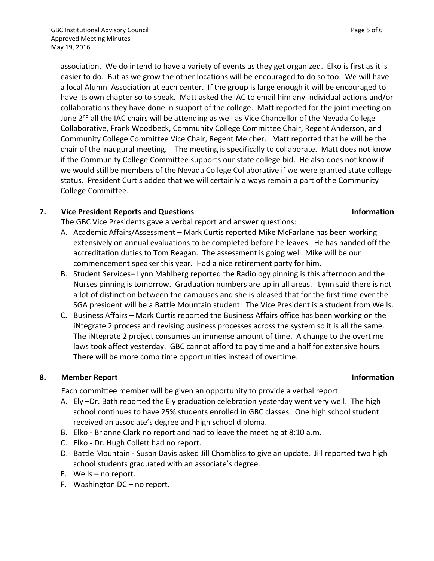association. We do intend to have a variety of events as they get organized. Elko is first as it is easier to do. But as we grow the other locations will be encouraged to do so too. We will have a local Alumni Association at each center. If the group is large enough it will be encouraged to have its own chapter so to speak. Matt asked the IAC to email him any individual actions and/or collaborations they have done in support of the college. Matt reported for the joint meeting on June 2<sup>nd</sup> all the IAC chairs will be attending as well as Vice Chancellor of the Nevada College Collaborative, Frank Woodbeck, Community College Committee Chair, Regent Anderson, and Community College Committee Vice Chair, Regent Melcher. Matt reported that he will be the chair of the inaugural meeting. The meeting is specifically to collaborate. Matt does not know if the Community College Committee supports our state college bid. He also does not know if we would still be members of the Nevada College Collaborative if we were granted state college status. President Curtis added that we will certainly always remain a part of the Community College Committee.

### **7. Vice President Reports and Questions Information**

The GBC Vice Presidents gave a verbal report and answer questions:

- A. Academic Affairs/Assessment Mark Curtis reported Mike McFarlane has been working extensively on annual evaluations to be completed before he leaves. He has handed off the accreditation duties to Tom Reagan. The assessment is going well. Mike will be our commencement speaker this year. Had a nice retirement party for him.
- B. Student Services– Lynn Mahlberg reported the Radiology pinning is this afternoon and the Nurses pinning is tomorrow. Graduation numbers are up in all areas. Lynn said there is not a lot of distinction between the campuses and she is pleased that for the first time ever the SGA president will be a Battle Mountain student. The Vice President is a student from Wells.
- C. Business Affairs Mark Curtis reported the Business Affairs office has been working on the iNtegrate 2 process and revising business processes across the system so it is all the same. The iNtegrate 2 project consumes an immense amount of time. A change to the overtime laws took affect yesterday. GBC cannot afford to pay time and a half for extensive hours. There will be more comp time opportunities instead of overtime.

### **8. Member Report Information**

Each committee member will be given an opportunity to provide a verbal report.

- A. Ely –Dr. Bath reported the Ely graduation celebration yesterday went very well. The high school continues to have 25% students enrolled in GBC classes. One high school student received an associate's degree and high school diploma.
- B. Elko Brianne Clark no report and had to leave the meeting at 8:10 a.m.
- C. Elko Dr. Hugh Collett had no report.
- D. Battle Mountain Susan Davis asked Jill Chambliss to give an update. Jill reported two high school students graduated with an associate's degree.
- E. Wells no report.
- F. Washington DC no report.